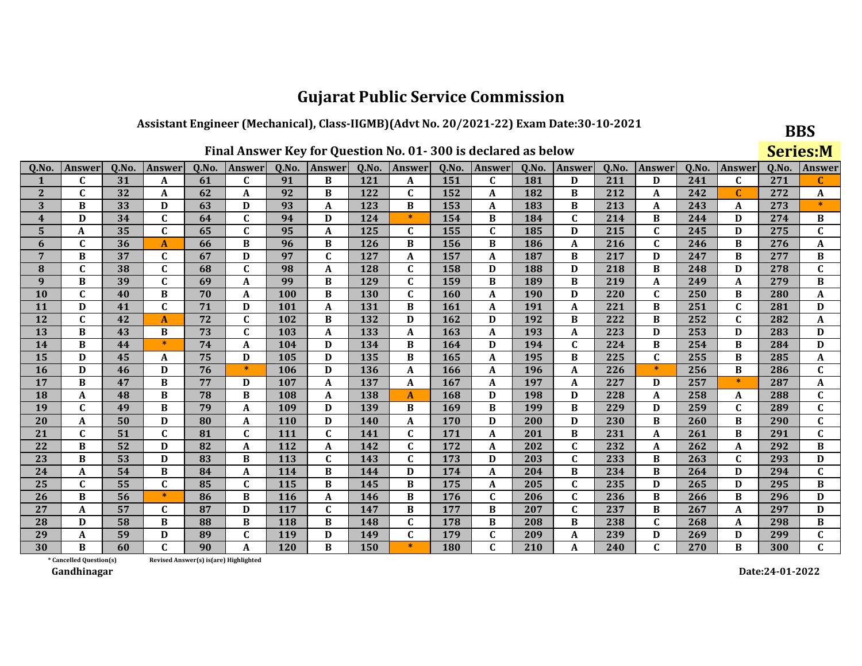#### Assistant Engineer (Mechanical), Class-IIGMB)(Advt No. 20/2021-22) Exam Date:30-10-2021

|                  | Final Answer Key for Question No. 01-300 is declared as below |       |                |                                       |              |            |              |       |              |       |              |       |              |       |               |       | <b>Series:M</b> |       |               |
|------------------|---------------------------------------------------------------|-------|----------------|---------------------------------------|--------------|------------|--------------|-------|--------------|-------|--------------|-------|--------------|-------|---------------|-------|-----------------|-------|---------------|
| Q.No.            | <b>Answer</b>                                                 | Q.No. | <b>Answer</b>  | Q.No.                                 | Answer       | Q.No.      | Answer       | Q.No. | Answer       | Q.No. | Answer       | Q.No. | Answer       | Q.No. | <b>Answer</b> | Q.No. | Answer          | Q.No. | <b>Answer</b> |
| 1                | $\mathbf{C}$                                                  | 31    | A              | 61                                    | $\mathbf{C}$ | 91         | B            | 121   | A            | 151   | $\mathbf{C}$ | 181   | D            | 211   | D             | 241   | $\mathbf{C}$    | 271   | C             |
| $\mathbf{2}$     | C                                                             | 32    | A              | 62                                    | A            | 92         | B            | 122   | $\mathbf{C}$ | 152   | A            | 182   | B            | 212   | A             | 242   | $\mathbf C$     | 272   | A             |
| 3                | B                                                             | 33    | D              | 63                                    | D            | 93         | A            | 123   | B            | 153   | A            | 183   | B            | 213   | A             | 243   | A               | 273   |               |
| $\boldsymbol{4}$ | D                                                             | 34    | C              | 64                                    | C            | 94         | D            | 124   | $\ast$       | 154   | B            | 184   | $\mathbf{C}$ | 214   | B             | 244   | D               | 274   | B             |
| 5                | A                                                             | 35    | $\mathbf{C}$   | 65                                    | $\mathbf{C}$ | 95         | A            | 125   | $\mathbf{C}$ | 155   | $\mathbf{C}$ | 185   | D            | 215   | $\mathbf{C}$  | 245   | D               | 275   | $\mathbf C$   |
| 6                | C                                                             | 36    | A              | 66                                    | B            | 96         | B            | 126   | B            | 156   | B            | 186   | A            | 216   | $\mathbf C$   | 246   | B               | 276   | A             |
| $\overline{7}$   | B                                                             | 37    | C              | 67                                    | D            | 97         | $\mathbf{C}$ | 127   | A            | 157   | A            | 187   | B            | 217   | D             | 247   | B               | 277   | B             |
| $\bf{8}$         | $\mathbf C$                                                   | 38    | C              | 68                                    | $\mathbf C$  | 98         | $\mathbf A$  | 128   | C            | 158   | D            | 188   | D            | 218   | B             | 248   | D               | 278   | $\mathbf C$   |
| 9                | B                                                             | 39    | $\mathbf{C}$   | 69                                    | A            | 99         | B            | 129   | $\mathbf{C}$ | 159   | B            | 189   | B            | 219   | A             | 249   | A               | 279   | B             |
| 10               | $\mathbf C$                                                   | 40    | B              | 70                                    | A            | 100        | B            | 130   | C            | 160   | A            | 190   | D            | 220   | $\mathbf C$   | 250   | B               | 280   | A             |
| 11               | D                                                             | 41    | $\mathbf{C}$   | 71                                    | D            | 101        | $\mathbf A$  | 131   | B            | 161   | A            | 191   | A            | 221   | B             | 251   | $\mathbf{C}$    | 281   | D             |
| 12               | $\mathbf{C}$                                                  | 42    | $\overline{A}$ | 72                                    | $\mathbf{C}$ | 102        | B            | 132   | D            | 162   | D            | 192   | B            | 222   | B             | 252   | $\mathbf{C}$    | 282   | $\mathbf{A}$  |
| 13               | B                                                             | 43    | B              | 73                                    | $\mathbf{C}$ | 103        | $\mathbf A$  | 133   | A            | 163   | A            | 193   | A            | 223   | D             | 253   | D               | 283   | D             |
| 14               | B                                                             | 44    | $\ast$         | 74                                    | A            | 104        | D            | 134   | B            | 164   | D            | 194   | $\mathbf{C}$ | 224   | B             | 254   | B               | 284   | D             |
| 15               | D                                                             | 45    | A              | 75                                    | D            | 105        | D            | 135   | B            | 165   | A            | 195   | B            | 225   | $\mathbf C$   | 255   | B               | 285   | A             |
| 16               | D                                                             | 46    | D              | 76                                    | $*$          | 106        | D            | 136   | A            | 166   | A            | 196   | A            | 226   | $\ast$        | 256   | B               | 286   | $\mathbf C$   |
| 17               | B                                                             | 47    | B              | 77                                    | D            | 107        | A            | 137   | A            | 167   | A            | 197   | A            | 227   | D             | 257   | $\ast$          | 287   | A             |
| 18               | A                                                             | 48    | B              | 78                                    | B            | 108        | A            | 138   | A            | 168   | D            | 198   | D            | 228   | A             | 258   | A               | 288   | $\mathbf{C}$  |
| 19               | $\mathbf C$                                                   | 49    | B              | 79                                    | A            | 109        | D            | 139   | B            | 169   | $\bf{B}$     | 199   | B            | 229   | D             | 259   | $\mathbf C$     | 289   | $\mathbf C$   |
| 20               | A                                                             | 50    | D              | 80                                    | A            | 110        | D            | 140   | A            | 170   | D            | 200   | D            | 230   | B             | 260   | B               | 290   | $\mathbf C$   |
| 21               | $\mathbf C$                                                   | 51    | $\mathbf C$    | 81                                    | $\mathbf{C}$ | 111        | $\mathbf C$  | 141   | C            | 171   | A            | 201   | B            | 231   | $\mathbf{A}$  | 261   | B               | 291   | $\mathbf{C}$  |
| 22               | B                                                             | 52    | D              | 82                                    | A            | 112        | A            | 142   | C            | 172   | A            | 202   | $\mathbf C$  | 232   | A             | 262   | A               | 292   | $\, {\bf B}$  |
| 23               | B                                                             | 53    | D              | 83                                    | B            | 113        | $\mathbf C$  | 143   | $\mathbf{C}$ | 173   | D            | 203   | $\mathbf C$  | 233   | B             | 263   | $\mathbf C$     | 293   | D             |
| 24               | A                                                             | 54    | B              | 84                                    | A            | 114        | B            | 144   | D            | 174   | A            | 204   | B            | 234   | $\, {\bf B}$  | 264   | D               | 294   | $\mathbf{C}$  |
| 25               | $\mathbf{C}$                                                  | 55    | $\mathbf{C}$   | 85                                    | $\mathbf{C}$ | 115        | B            | 145   | B            | 175   | A            | 205   | $\mathbf C$  | 235   | D             | 265   | D               | 295   | $\bf{B}$      |
| 26               | B                                                             | 56    | $\ast$         | 86                                    | B            | <b>116</b> | $\mathbf A$  | 146   | B            | 176   | C            | 206   | $\mathbf C$  | 236   | B             | 266   | B               | 296   | D             |
| 27               | A                                                             | 57    | $\mathbf{C}$   | 87                                    | D            | 117        | $\mathbf C$  | 147   | B            | 177   | B            | 207   | $\mathbf C$  | 237   | B             | 267   | A               | 297   | D             |
| 28               | D                                                             | 58    | B              | 88                                    | B            | 118        | B            | 148   | C            | 178   | B            | 208   | B            | 238   | $\mathbf C$   | 268   | A               | 298   | В             |
| 29               | A                                                             | 59    | D              | 89                                    | $\mathbf{C}$ | 119        | D            | 149   | $\mathbf{C}$ | 179   | $\mathbf C$  | 209   | A            | 239   | D             | 269   | D               | 299   | $\mathbf C$   |
| 30               | R                                                             | 60    | C              | 90                                    | A            | 120        | B            | 150   | $\ast$       | 180   | $\mathbf{C}$ | 210   | A            | 240   | $\mathbf C$   | 270   | B               | 300   | $\mathbf C$   |
|                  | * Cancelled Question(s)                                       |       |                | Revised Answer(s) is(are) Highlighted |              |            |              |       |              |       |              |       |              |       |               |       |                 |       |               |

Revised Answer(s) is(are) Highlighted

Gandhinagar

Date:24-01-2022

**BBS**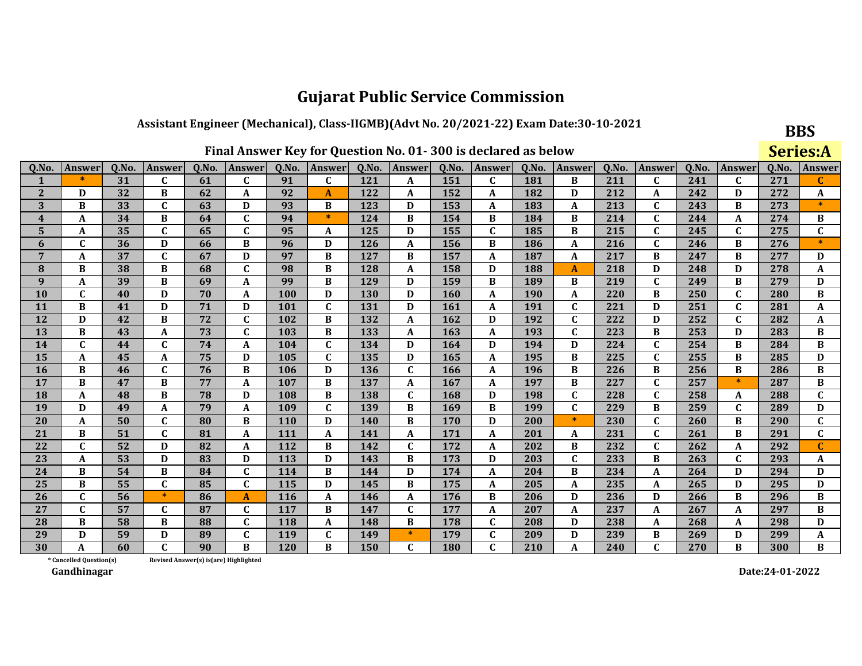### Assistant Engineer (Mechanical), Class-IIGMB)(Advt No. 20/2021-22) Exam Date:30-10-2021

|                  | Final Answer Key for Question No. 01-300 is declared as below |       |              |       |               |            |                  |       |              |       |               |       |               |       |               | <b>Series:A</b> |               |       |              |
|------------------|---------------------------------------------------------------|-------|--------------|-------|---------------|------------|------------------|-------|--------------|-------|---------------|-------|---------------|-------|---------------|-----------------|---------------|-------|--------------|
| Q.No             | Answer                                                        | Q.No. | Answer       | Q.No. | <b>Answer</b> | Q.No.      | <b>Answer</b>    | Q.No. | Answer       | Q.No. | <b>Answer</b> | Q.No. | <b>Answer</b> | Q.No. | <b>Answer</b> | Q.No.           | <b>Answer</b> | Q.No. | Answei       |
| 1                |                                                               | 31    | C            | 61    | C             | 91         | C                | 121   | A            | 151   | C             | 181   | B             | 211   | C             | 241             | C             | 271   | C            |
| $\mathbf{2}$     | D                                                             | 32    | B            | 62    | A             | 92         | $\mathbf{A}$     | 122   | A            | 152   | A             | 182   | D             | 212   | A             | 242             | D             | 272   | A            |
| 3                | B                                                             | 33    | $\mathbf{C}$ | 63    | D             | 93         | B                | 123   | D            | 153   | A             | 183   | A             | 213   | $\mathbf{C}$  | 243             | B             | 273   | $\ast$       |
| $\boldsymbol{4}$ | A                                                             | 34    | B            | 64    | $\mathbf C$   | 94         | $\ast$           | 124   | B            | 154   | B             | 184   | B             | 214   | $\mathbf C$   | 244             | A             | 274   | B            |
| 5                | A                                                             | 35    | $\mathbf C$  | 65    | $\mathbf C$   | 95         | A                | 125   | D            | 155   | $\mathbf C$   | 185   | B             | 215   | $\mathbf{C}$  | 245             | $\mathbf{C}$  | 275   | $\mathbf C$  |
| 6                | $\mathbf C$                                                   | 36    | D            | 66    | B             | 96         | D                | 126   | A            | 156   | B             | 186   | A             | 216   | $\mathbf C$   | 246             | B             | 276   |              |
| 7                | A                                                             | 37    | $\mathbf C$  | 67    | D             | 97         | B                | 127   | B            | 157   | A             | 187   | A             | 217   | B             | 247             | B             | 277   | D            |
| 8                | B                                                             | 38    | B            | 68    | $\mathbf C$   | 98         | $\, {\bf B}$     | 128   | A            | 158   | D             | 188   | A             | 218   | D             | 248             | D             | 278   | A            |
| 9                | A                                                             | 39    | B            | 69    | A             | 99         | $\bf{B}$         | 129   | D            | 159   | B             | 189   | B             | 219   | $\mathbf{C}$  | 249             | B             | 279   | D            |
| 10               | C                                                             | 40    | D            | 70    | A             | 100        | D                | 130   | D            | 160   | A             | 190   | A             | 220   | $\, {\bf B}$  | 250             | $\mathbf{C}$  | 280   | $\bf{B}$     |
| 11               | B                                                             | 41    | D            | 71    | D             | 101        | $\mathbf C$      | 131   | D            | 161   | A             | 191   | $\mathbf{C}$  | 221   | D             | 251             | $\mathbf{C}$  | 281   | $\mathbf{A}$ |
| 12               | D                                                             | 42    | B            | 72    | $\mathbf{C}$  | 102        | $\bf{B}$         | 132   | A            | 162   | D             | 192   | $\mathbf{C}$  | 222   | D             | 252             | $\mathbf{C}$  | 282   | A            |
| 13               | B                                                             | 43    | $\mathbf{A}$ | 73    | $\mathbf{C}$  | 103        | $\bf{B}$         | 133   | A            | 163   | A             | 193   | $\mathbf{C}$  | 223   | $\bf{B}$      | 253             | D             | 283   | B            |
| 14               | $\mathbf C$                                                   | 44    | $\mathbf C$  | 74    | A             | 104        | $\mathbf C$      | 134   | D            | 164   | D             | 194   | D             | 224   | $\mathbf{C}$  | 254             | B             | 284   | B            |
| 15               | A                                                             | 45    | A            | 75    | D             | 105        | $\mathbf C$      | 135   | D            | 165   | A             | 195   | B             | 225   | C             | 255             | B             | 285   | D            |
| 16               | B                                                             | 46    | $\mathbf C$  | 76    | B             | 106        | D                | 136   | $\mathbf C$  | 166   | $\mathbf{A}$  | 196   | B             | 226   | B             | 256             | B             | 286   | $\bf{B}$     |
| 17               | B                                                             | 47    | B            | 77    | A             | 107        | B                | 137   | A            | 167   | A             | 197   | B             | 227   | $\mathbf{C}$  | 257             | $\ast$        | 287   | B            |
| 18               | A                                                             | 48    | B            | 78    | D             | 108        | $\bf{B}$         | 138   | $\mathbf C$  | 168   | D             | 198   | $\mathbf C$   | 228   | $\mathbf C$   | 258             | A             | 288   | $\mathbf C$  |
| 19               | D                                                             | 49    | A            | 79    | A             | 109        | $\mathbf C$      | 139   | B            | 169   | B             | 199   | $\mathbf{C}$  | 229   | B             | 259             | $\mathbf{C}$  | 289   | D            |
| 20               | A                                                             | 50    | $\mathbf C$  | 80    | B             | <b>110</b> | D                | 140   | B            | 170   | D             | 200   | $\ast$        | 230   | $\mathbf C$   | 260             | B             | 290   | $\mathbf C$  |
| 21               | B                                                             | 51    | $\mathbf C$  | 81    | A             | 111        | $\boldsymbol{A}$ | 141   | A            | 171   | A             | 201   | A             | 231   | $\mathbf{C}$  | 261             | B             | 291   | $\mathbf C$  |
| 22               | $\mathbf{C}$                                                  | 52    | D            | 82    | A             | 112        | B                | 142   | C            | 172   | A             | 202   | B             | 232   | $\mathbf{C}$  | 262             | A             | 292   | C            |
| 23               | A                                                             | 53    | D            | 83    | D             | 113        | D                | 143   | $\, {\bf B}$ | 173   | D             | 203   | $\mathbf{C}$  | 233   | B             | 263             | $\mathbf{C}$  | 293   | A            |
| 24               | B                                                             | 54    | B            | 84    | $\mathbf{C}$  | 114        | B                | 144   | D            | 174   | A             | 204   | B             | 234   | A             | 264             | D             | 294   | D            |
| 25               | B                                                             | 55    | $\mathbf C$  | 85    | $\mathbf C$   | 115        | D                | 145   | B            | 175   | A             | 205   | A             | 235   | A             | 265             | D             | 295   | D            |
| 26               | C                                                             | 56    | $\ast$       | 86    | A             | 116        | $\mathbf{A}$     | 146   | A            | 176   | B             | 206   | D             | 236   | D             | 266             | B             | 296   | B            |
| 27               | $\mathbf C$                                                   | 57    | $\mathbf{C}$ | 87    | $\mathbf{C}$  | 117        | $\bf{B}$         | 147   | $\mathbf C$  | 177   | A             | 207   | A             | 237   | A             | 267             | A             | 297   | B            |
| 28               | B                                                             | 58    | B            | 88    | $\mathbf C$   | 118        | $\boldsymbol{A}$ | 148   | B            | 178   | $\mathbf{C}$  | 208   | D             | 238   | $\mathbf A$   | 268             | A             | 298   | D            |
| 29               | D                                                             | 59    | D            | 89    | $\mathbf C$   | 119        | $\mathbf C$      | 149   | $\ast$       | 179   | $\mathbf C$   | 209   | D             | 239   | B             | 269             | D             | 299   | A            |
| 30               | A                                                             | 60    | $\mathbf C$  | 90    | B             | 120        | B                | 150   | C            | 180   | $\mathbf{C}$  | 210   | A             | 240   | $\mathbf{C}$  | 270             | B             | 300   | B            |

Revised Answer(s) is(are) Highlighted

\* Cancelled Question(s) Gandhinagar

Date:24-01-2022

**BBS**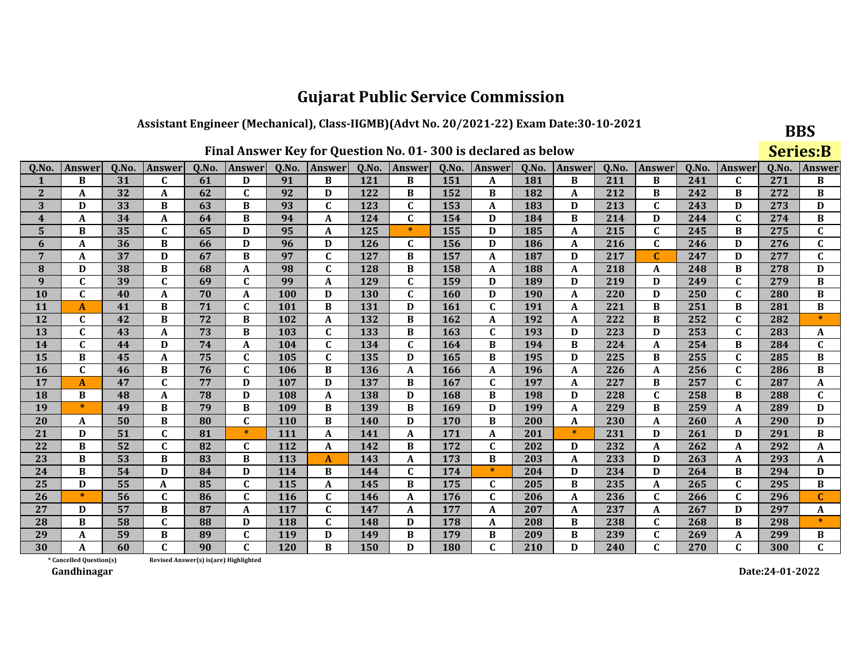### Assistant Engineer (Mechanical), Class-IIGMB)(Advt No. 20/2021-22) Exam Date:30-10-2021

|  |  | Final Answer Key for Question No. 01-300 is declared as below |  |
|--|--|---------------------------------------------------------------|--|
|--|--|---------------------------------------------------------------|--|

**BBS** 

|                         | Final Answer Key for Question No. 01-300 is declared as below |       |             |       |               |       |                           |       |               |       |               |            |        |       |              | <b>Series:B</b> |              |       |                           |
|-------------------------|---------------------------------------------------------------|-------|-------------|-------|---------------|-------|---------------------------|-------|---------------|-------|---------------|------------|--------|-------|--------------|-----------------|--------------|-------|---------------------------|
| Q.No.                   | <b>Answer</b>                                                 | Q.No. | Answer      | Q.No. | <b>Answer</b> | Q.No. | Answer                    | Q.No. | <b>Answer</b> | Q.No. | <b>Answer</b> | Q.No.      | Answer | Q.No. | Answer       | Q.No.           | Answer       | Q.No. | <b>Answer</b>             |
| 1                       | B                                                             | 31    | C           | 61    | D             | 91    | B                         | 121   | В             | 151   | A             | 181        | B      | 211   | B            | 241             | C            | 271   | B                         |
| $\mathbf{2}$            | A                                                             | 32    | A           | 62    | $\mathbf C$   | 92    | D                         | 122   | B             | 152   | $\bf{B}$      | 182        | A      | 212   | B            | 242             | $\bf{B}$     | 272   | $\, {\bf B}$              |
| 3                       | D                                                             | 33    | B           | 63    | B             | 93    | $\mathbf C$               | 123   | $\mathbf{C}$  | 153   | A             | 183        | D      | 213   | $\mathbf{C}$ | 243             | D            | 273   | D                         |
| $\overline{\mathbf{4}}$ | A                                                             | 34    | A           | 64    | B             | 94    | A                         | 124   | $\mathbf C$   | 154   | D             | 184        | B      | 214   | D            | 244             | $\mathbf C$  | 274   | B                         |
| 5                       | B                                                             | 35    | $\mathbf C$ | 65    | D             | 95    | A                         | 125   | $\ast$        | 155   | D             | 185        | A      | 215   | $\mathbf{C}$ | 245             | B            | 275   | $\mathbf{C}$              |
| 6                       | A                                                             | 36    | B           | 66    | D             | 96    | D                         | 126   | $\mathbf{C}$  | 156   | D             | 186        | A      | 216   | $\mathbf{C}$ | 246             | D            | 276   | $\mathbf{C}$              |
| $\overline{7}$          | A                                                             | 37    | D           | 67    | B             | 97    | $\overline{c}$            | 127   | B             | 157   | $\mathbf{A}$  | 187        | D      | 217   | $\mathbf C$  | 247             | D            | 277   | $\overline{\mathfrak{c}}$ |
| 8                       | D                                                             | 38    | B           | 68    | A             | 98    | $\mathbf C$               | 128   | B             | 158   | A             | 188        | A      | 218   | A            | 248             | B            | 278   | D                         |
| 9                       | $\mathbf C$                                                   | 39    | C           | 69    | C             | 99    | A                         | 129   | C             | 159   | D             | 189        | D      | 219   | D            | 249             | $\mathbf C$  | 279   | В                         |
| 10                      | $\mathbf{C}$                                                  | 40    | A           | 70    | A             | 100   | D                         | 130   | $\mathbf{C}$  | 160   | D             | <b>190</b> | A      | 220   | D            | 250             | $\mathbf C$  | 280   | B                         |
| 11                      | A                                                             | 41    | B           | 71    | $\mathbf{C}$  | 101   | B                         | 131   | D             | 161   | C             | 191        | A      | 221   | B            | 251             | B            | 281   | B                         |
| 12                      | $\mathbf{C}$                                                  | 42    | B           | 72    | B             | 102   | $\boldsymbol{\mathsf{A}}$ | 132   | B             | 162   | A             | 192        | A      | 222   | B            | 252             | $\mathbf C$  | 282   | $\ast$                    |
| 13                      | $\mathbf{C}$                                                  | 43    | A           | 73    | B             | 103   | $\mathbf{C}$              | 133   | B             | 163   | C             | 193        | D      | 223   | D            | 253             | $\mathbf C$  | 283   | A                         |
| 14                      | $\mathbf{C}$                                                  | 44    | D           | 74    | A             | 104   | $\mathbf C$               | 134   | $\mathbf{C}$  | 164   | B             | 194        | B      | 224   | $\mathbf A$  | 254             | B            | 284   | $\mathbf{C}$              |
| 15                      | B                                                             | 45    | A           | 75    | $\mathbf{C}$  | 105   | $\mathbf C$               | 135   | D             | 165   | $\bf{B}$      | 195        | D      | 225   | B            | 255             | $\mathbf C$  | 285   | B                         |
| 16                      | $\mathbf{C}$                                                  | 46    | B           | 76    | $\mathbf C$   | 106   | B                         | 136   | A             | 166   | A             | 196        | A      | 226   | A            | 256             | $\mathbf C$  | 286   | B                         |
| 17                      | A                                                             | 47    | $\mathbf C$ | 77    | D             | 107   | D                         | 137   | B             | 167   | $\mathbf C$   | 197        | A      | 227   | B            | 257             | $\mathbf C$  | 287   | A                         |
| 18                      | B                                                             | 48    | A           | 78    | D             | 108   | $\mathbf{A}$              | 138   | D             | 168   | B             | 198        | D      | 228   | $\mathbf C$  | 258             | B            | 288   | $\mathbf{C}$              |
| 19                      | $\ast$                                                        | 49    | B           | 79    | B             | 109   | B                         | 139   | B             | 169   | D             | 199        | A      | 229   | B            | 259             | A            | 289   | D                         |
| 20                      | A                                                             | 50    | B           | 80    | $\mathbf{C}$  | 110   | B                         | 140   | D             | 170   | B             | 200        | A      | 230   | A            | 260             | A            | 290   | D                         |
| 21                      | D                                                             | 51    | $\mathbf C$ | 81    | $\ast$        | 111   | $\boldsymbol{A}$          | 141   | A             | 171   | A             | 201        | $\ast$ | 231   | D            | 261             | D            | 291   | $\, {\bf B}$              |
| 22                      | B                                                             | 52    | $\mathbf C$ | 82    | $\mathbf{C}$  | 112   | A                         | 142   | B             | 172   | $\mathbf C$   | 202        | D      | 232   | A            | 262             | A            | 292   | A                         |
| 23                      | B                                                             | 53    | B           | 83    | B             | 113   | $\mathbf{A}$              | 143   | A             | 173   | В             | 203        | A      | 233   | D            | 263             | A            | 293   | A                         |
| 24                      | B                                                             | 54    | D           | 84    | D             | 114   | B                         | 144   | $\mathbf{C}$  | 174   | $\ast$        | 204        | D      | 234   | D            | 264             | $\bf{B}$     | 294   | D                         |
| 25                      | D                                                             | 55    | A           | 85    | $\mathbf{C}$  | 115   | A                         | 145   | B             | 175   | $\mathbf{C}$  | 205        | B      | 235   | A            | 265             | $\mathbf C$  | 295   | $\, {\bf B}$              |
| 26                      | $\ast$                                                        | 56    | C           | 86    | $\mathbf{C}$  | 116   | $\mathbf C$               | 146   | A             | 176   | $\mathbf C$   | 206        | A      | 236   | $\mathbf C$  | 266             | $\mathbf C$  | 296   | $\mathbf{C}$              |
| 27                      | D                                                             | 57    | B           | 87    | A             | 117   | $\mathbf C$               | 147   | A             | 177   | A             | 207        | A      | 237   | A            | 267             | D            | 297   | A                         |
| 28                      | B                                                             | 58    | $\mathbf C$ | 88    | D             | 118   | $\mathbf C$               | 148   | D             | 178   | A             | 208        | B      | 238   | $\mathbf{C}$ | 268             | $\bf{B}$     | 298   | $\ast$                    |
| 29                      | A                                                             | 59    | B           | 89    | C             | 119   | D                         | 149   | B             | 179   | B             | 209        | B      | 239   | $\mathbf C$  | 269             | A            | 299   | В                         |
| 30                      | A                                                             | 60    | C           | 90    | $\mathbf{C}$  | 120   | B                         | 150   | D             | 180   | $\mathbf{C}$  | 210        | D      | 240   | C            | 270             | $\mathbf{C}$ | 300   | $\mathbf{C}$              |

\* Cancelled Question(s) Revised Answer(s) is(are) Highlighted

Gandhinagar

Date:24-01-2022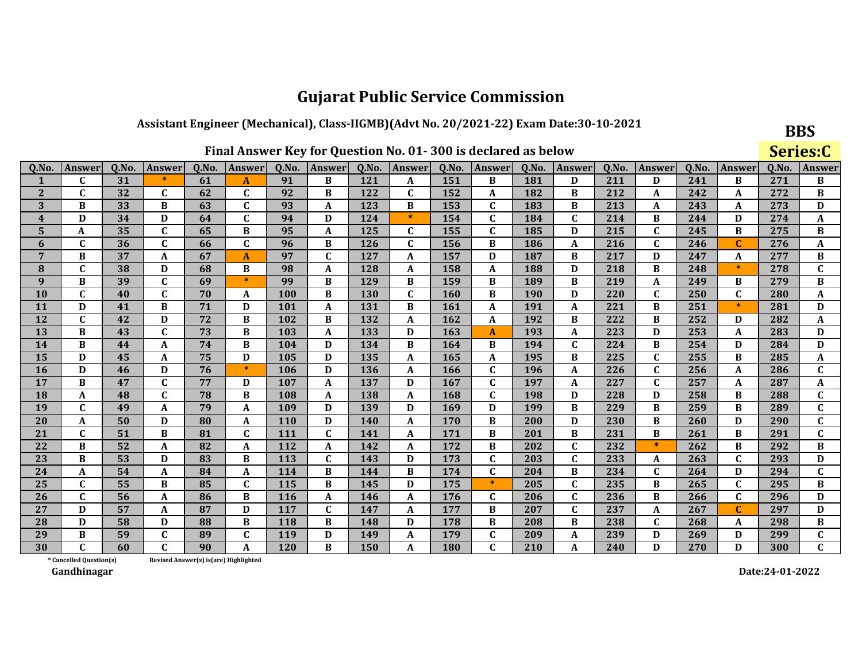#### Assistant Engineer (Mechanical), Class-IIGMB)(Advt No. 20/2021-22) Exam Date:30-10-2021

| Final Answer Key for Question No. 01-300 is declared as below |
|---------------------------------------------------------------|
|---------------------------------------------------------------|

**BBS** 

|              | Final Answer Key for Question No. 01-300 is declared as below |       |              |       |                  |       |                  |       |              |            |               |       |              |       |               | Series:C |              |       |              |
|--------------|---------------------------------------------------------------|-------|--------------|-------|------------------|-------|------------------|-------|--------------|------------|---------------|-------|--------------|-------|---------------|----------|--------------|-------|--------------|
| Q.No.        | <b>Answer</b>                                                 | Q.No. | Answer       | Q.No. | Answer           | Q.No. | Answer           | Q.No. | Answer       | Q.No.      | <b>Answer</b> | Q.No. | Answer       | Q.No. | <b>Answer</b> | Q.No.    | Answer       | 0.No. | Answei       |
|              | $\mathbf C$                                                   | 31    | $\ast$       | 61    | A                | 91    | B                | 121   | A            | 151        | B             | 181   | D            | 211   | D             | 241      | B            | 271   | B            |
| $\mathbf{2}$ | $\mathbf C$                                                   | 32    | C            | 62    | $\mathbf C$      | 92    | B                | 122   | $\mathbf C$  | 152        | A             | 182   | B            | 212   | $\mathbf A$   | 242      | A            | 272   | $\bf{B}$     |
| 3            | B                                                             | 33    | B            | 63    | $\mathbf C$      | 93    | A                | 123   | B            | 153        | C             | 183   | B            | 213   | A             | 243      | A            | 273   | D            |
| 4            | D                                                             | 34    | D            | 64    | $\mathbf C$      | 94    | D                | 124   | $\ast$       | 154        | $\mathbf{C}$  | 184   | $\mathbf C$  | 214   | B             | 244      | D            | 274   | A            |
| 5            | A                                                             | 35    | $\mathbf{C}$ | 65    | B                | 95    | A                | 125   | $\mathbf C$  | 155        | $\mathbf{C}$  | 185   | D            | 215   | $\mathbf{C}$  | 245      | B            | 275   | B            |
| 6            | C                                                             | 36    | $\mathbf{C}$ | 66    | C                | 96    | B                | 126   | $\mathbf{C}$ | 156        | B             | 186   | A            | 216   | C             | 246      | C            | 276   | A            |
| 7            | B                                                             | 37    | A            | 67    | $\boldsymbol{A}$ | 97    | $\mathbf C$      | 127   | A            | 157        | D             | 187   | B            | 217   | D             | 247      | A            | 277   | $\, {\bf B}$ |
| 8            | $\mathbf{C}$                                                  | 38    | D            | 68    | B                | 98    | $\boldsymbol{A}$ | 128   | A            | 158        | A             | 188   | D            | 218   | B             | 248      | $\ast$       | 278   | $\mathbf C$  |
| 9            | B                                                             | 39    | $\mathbf{C}$ | 69    | $\ast$           | 99    | B                | 129   | B            | 159        | B             | 189   | B            | 219   | $\mathbf A$   | 249      | B            | 279   | $\bf{B}$     |
| 10           | $\mathbf C$                                                   | 40    | $\mathbf{C}$ | 70    | A                | 100   | B                | 130   | $\mathbf{C}$ | <b>160</b> | B             | 190   | D            | 220   | $\mathbf{C}$  | 250      | $\mathbf{C}$ | 280   | A            |
| <b>11</b>    | D                                                             | 41    | B            | 71    | D                | 101   | A                | 131   | B            | 161        | A             | 191   | A            | 221   | B             | 251      | $*$          | 281   | D            |
| 12           | $\mathbf C$                                                   | 42    | D            | 72    | B                | 102   | B                | 132   | A            | 162        | A             | 192   | B            | 222   | B             | 252      | D            | 282   | A            |
| 13           | B                                                             | 43    | $\mathbf{C}$ | 73    | B                | 103   | $\boldsymbol{A}$ | 133   | D            | 163        | A             | 193   | A            | 223   | D             | 253      | A            | 283   | D            |
| 14           | B                                                             | 44    | A            | 74    | B                | 104   | D                | 134   | B            | 164        | B             | 194   | $\mathbf{C}$ | 224   | B             | 254      | D            | 284   | D            |
| 15           | D                                                             | 45    | A            | 75    | D                | 105   | D                | 135   | A            | 165        | A             | 195   | B            | 225   | $\mathbf{C}$  | 255      | B            | 285   | A            |
| 16           | D                                                             | 46    | D            | 76    | $\ast$           | 106   | D                | 136   | A            | 166        | $\mathbf C$   | 196   | A            | 226   | $\mathbf C$   | 256      | A            | 286   | $\mathbf C$  |
| 17           | B                                                             | 47    | $\mathbf{C}$ | 77    | D                | 107   | A                | 137   | D            | 167        | $\mathbf{C}$  | 197   | A            | 227   | $\mathbf C$   | 257      | A            | 287   | A            |
| <b>18</b>    | A                                                             | 48    | $\mathbf{C}$ | 78    | B                | 108   | A                | 138   | A            | 168        | $\mathbf C$   | 198   | D            | 228   | D             | 258      | B            | 288   | $\mathbf C$  |
| 19           | $\mathbf{C}$                                                  | 49    | A            | 79    | $\boldsymbol{A}$ | 109   | D                | 139   | D            | 169        | D             | 199   | B            | 229   | B             | 259      | B            | 289   | $\mathbf C$  |
| 20           | A                                                             | 50    | D            | 80    | A                | 110   | D                | 140   | A            | 170        | B             | 200   | D            | 230   | B             | 260      | D            | 290   | C            |
| 21           | $\mathbf{C}$                                                  | 51    | B            | 81    | $\mathbf{C}$     | 111   | $\mathbf{C}$     | 141   | $\mathbf{A}$ | 171        | B             | 201   | B            | 231   | B             | 261      | B            | 291   | $\mathbf C$  |
| 22           | B                                                             | 52    | A            | 82    | A                | 112   | $\boldsymbol{A}$ | 142   | A            | 172        | B             | 202   | $\mathbf{C}$ | 232   | $\ast$        | 262      | B            | 292   | B            |
| 23           | B                                                             | 53    | D            | 83    | B                | 113   | $\mathbf{C}$     | 143   | D            | 173        | $\mathbf C$   | 203   | C            | 233   | A             | 263      | C            | 293   | D            |
| 24           | A                                                             | 54    | A            | 84    | A                | 114   | B                | 144   | B            | 174        | $\mathbf C$   | 204   | B            | 234   | $\mathbf C$   | 264      | D            | 294   | $\mathbf C$  |
| 25           | $\mathbf{C}$                                                  | 55    | B            | 85    | $\mathbf C$      | 115   | $\bf{B}$         | 145   | D            | 175        | $\ast$        | 205   | $\mathbf{C}$ | 235   | B             | 265      | $\mathbf{C}$ | 295   | $\bf{B}$     |
| 26           | $\mathbf{C}$                                                  | 56    | A            | 86    | B                | 116   | $\mathbf A$      | 146   | $\mathbf{A}$ | 176        | C             | 206   | $\mathbf C$  | 236   | B             | 266      | $\mathbf{C}$ | 296   | D            |
| 27           | D                                                             | 57    | A            | 87    | D                | 117   | $\mathbf C$      | 147   | A            | 177        | B             | 207   | $\mathbf C$  | 237   | A             | 267      | C            | 297   | D            |
| 28           | D                                                             | 58    | D            | 88    | B                | 118   | $\bf{B}$         | 148   | D            | 178        | B             | 208   | B            | 238   | $\mathbf{C}$  | 268      | A            | 298   | B            |
| 29           | B                                                             | 59    | $\mathbf{C}$ | 89    | C                | 119   | D                | 149   | A            | 179        | $\mathbf C$   | 209   | A            | 239   | D             | 269      | D            | 299   | $\mathbf C$  |
| 30           | $\mathbf{C}$                                                  | 60    | $\mathbf{C}$ | 90    | A                | 120   | B                | 150   | A            | 180        | $\mathbf{C}$  | 210   | A            | 240   | D             | 270      | D            | 300   | $\mathbf{C}$ |

\* Cancelled Question(s) Revised Answer(s) is(are) Highlighted

Gandhinagar

Date:24-01-2022